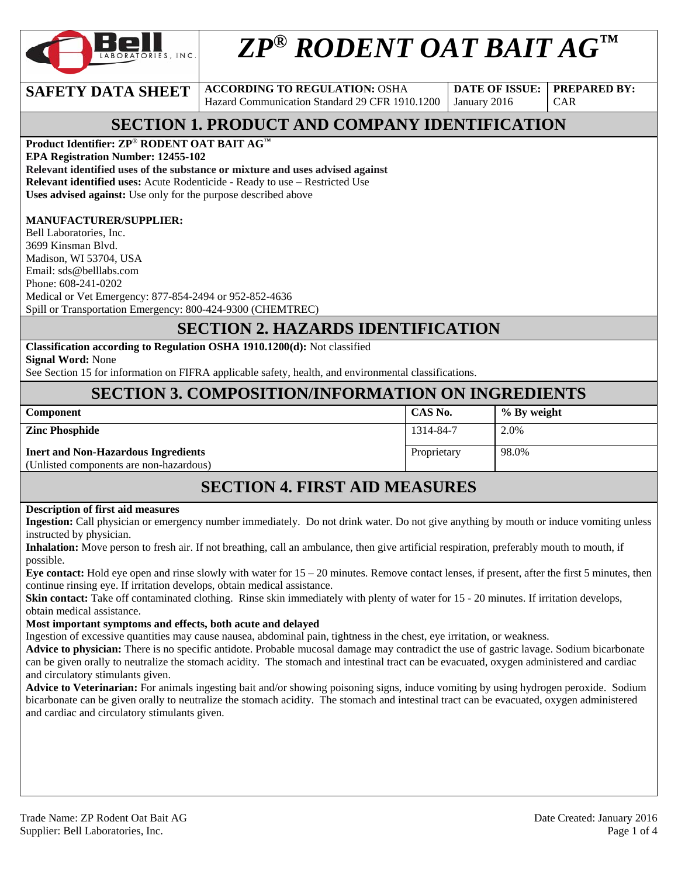

# *ZP® RODENT OAT BAIT AG™*

**SAFETY DATA SHEET** ACCORDING TO REGULATION: OSHA Hazard Communication Standard 29 CFR 1910.1200

**DATE OF ISSUE:**  January 2016

**PREPARED BY:**  CAR

### **SECTION 1. PRODUCT AND COMPANY IDENTIFICATION**

### **Product Identifier: ZP**® **RODENT OAT BAIT AG™**

**EPA Registration Number: 12455-102** 

**Relevant identified uses of the substance or mixture and uses advised against**

**Relevant identified uses:** Acute Rodenticide - Ready to use – Restricted Use

**Uses advised against:** Use only for the purpose described above

#### **MANUFACTURER/SUPPLIER:**

Bell Laboratories, Inc. 3699 Kinsman Blvd. Madison, WI 53704, USA Email: sds@belllabs.com Phone: 608-241-0202 Medical or Vet Emergency: 877-854-2494 or 952-852-4636 Spill or Transportation Emergency: 800-424-9300 (CHEMTREC)

### **SECTION 2. HAZARDS IDENTIFICATION**

**Classification according to Regulation OSHA 1910.1200(d):** Not classified **Signal Word:** None

See Section 15 for information on FIFRA applicable safety, health, and environmental classifications.

### **SECTION 3. COMPOSITION/INFORMATION ON INGREDIENTS**

| <b>Component</b>                                                                      | CAS No.     | $\%$ By weight |
|---------------------------------------------------------------------------------------|-------------|----------------|
| <b>Zinc Phosphide</b>                                                                 | 1314-84-7   | 2.0%           |
| <b>Inert and Non-Hazardous Ingredients</b><br>(Unlisted components are non-hazardous) | Proprietary | 98.0%          |

### **SECTION 4. FIRST AID MEASURES**

#### **Description of first aid measures**

**Ingestion:** Call physician or emergency number immediately. Do not drink water. Do not give anything by mouth or induce vomiting unless instructed by physician.

**Inhalation:** Move person to fresh air. If not breathing, call an ambulance, then give artificial respiration, preferably mouth to mouth, if possible.

**Eye contact:** Hold eye open and rinse slowly with water for 15 – 20 minutes. Remove contact lenses, if present, after the first 5 minutes, then continue rinsing eye. If irritation develops, obtain medical assistance.

**Skin contact:** Take off contaminated clothing. Rinse skin immediately with plenty of water for 15 - 20 minutes. If irritation develops, obtain medical assistance.

#### **Most important symptoms and effects, both acute and delayed**

Ingestion of excessive quantities may cause nausea, abdominal pain, tightness in the chest, eye irritation, or weakness.

**Advice to physician:** There is no specific antidote. Probable mucosal damage may contradict the use of gastric lavage. Sodium bicarbonate can be given orally to neutralize the stomach acidity. The stomach and intestinal tract can be evacuated, oxygen administered and cardiac and circulatory stimulants given.<br>**Advice to Veterinarian:** For animals ingesting bait and/or showing poisoning signs, induce vomiting by using hydrogen peroxide. Sodium

bicarbonate can be given orally to neutralize the stomach acidity. The stomach and intestinal tract can be evacuated, oxygen administered and cardiac and circulatory stimulants given.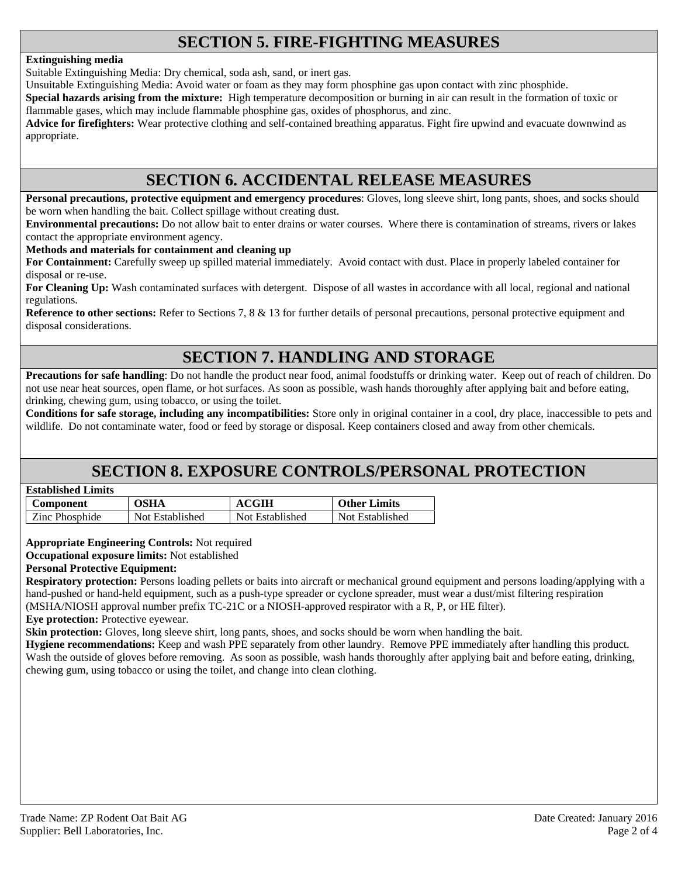### **SECTION 5. FIRE-FIGHTING MEASURES**

#### **Extinguishing media**

Suitable Extinguishing Media: Dry chemical, soda ash, sand, or inert gas.

Unsuitable Extinguishing Media: Avoid water or foam as they may form phosphine gas upon contact with zinc phosphide.

**Special hazards arising from the mixture:** High temperature decomposition or burning in air can result in the formation of toxic or flammable gases, which may include flammable phosphine gas, oxides of phosphorus, and zinc.

**Advice for firefighters:** Wear protective clothing and self-contained breathing apparatus. Fight fire upwind and evacuate downwind as appropriate.

### **SECTION 6. ACCIDENTAL RELEASE MEASURES**

**Personal precautions, protective equipment and emergency procedures**: Gloves, long sleeve shirt, long pants, shoes, and socks should be worn when handling the bait. Collect spillage without creating dust.

**Environmental precautions:** Do not allow bait to enter drains or water courses. Where there is contamination of streams, rivers or lakes contact the appropriate environment agency.

**Methods and materials for containment and cleaning up**

**For Containment:** Carefully sweep up spilled material immediately. Avoid contact with dust. Place in properly labeled container for disposal or re-use.

**For Cleaning Up:** Wash contaminated surfaces with detergent. Dispose of all wastes in accordance with all local, regional and national regulations.

**Reference to other sections:** Refer to Sections 7, 8 & 13 for further details of personal precautions, personal protective equipment and disposal considerations.

### **SECTION 7. HANDLING AND STORAGE**

**Precautions for safe handling**: Do not handle the product near food, animal foodstuffs or drinking water. Keep out of reach of children. Do not use near heat sources, open flame, or hot surfaces. As soon as possible, wash hands thoroughly after applying bait and before eating, drinking, chewing gum, using tobacco, or using the toilet.

**Conditions for safe storage, including any incompatibilities:** Store only in original container in a cool, dry place, inaccessible to pets and wildlife. Do not contaminate water, food or feed by storage or disposal. Keep containers closed and away from other chemicals.

### **SECTION 8. EXPOSURE CONTROLS/PERSONAL PROTECTION**

| <b>Established Limits</b> |  |
|---------------------------|--|
|                           |  |

| Component      | OSHA            | ACGIH           | <b>Other Limits</b> |
|----------------|-----------------|-----------------|---------------------|
| Zinc Phosphide | Not Established | Not Established | Not Established     |

**Appropriate Engineering Controls:** Not required

**Occupational exposure limits:** Not established

#### **Personal Protective Equipment:**

**Respiratory protection:** Persons loading pellets or baits into aircraft or mechanical ground equipment and persons loading/applying with a hand-pushed or hand-held equipment, such as a push-type spreader or cyclone spreader, must wear a dust/mist filtering respiration (MSHA/NIOSH approval number prefix TC-21C or a NIOSH-approved respirator with a R, P, or HE filter).

**Eye protection:** Protective eyewear.

**Skin protection:** Gloves, long sleeve shirt, long pants, shoes, and socks should be worn when handling the bait.

**Hygiene recommendations:** Keep and wash PPE separately from other laundry. Remove PPE immediately after handling this product. Wash the outside of gloves before removing. As soon as possible, wash hands thoroughly after applying bait and before eating, drinking, chewing gum, using tobacco or using the toilet, and change into clean clothing.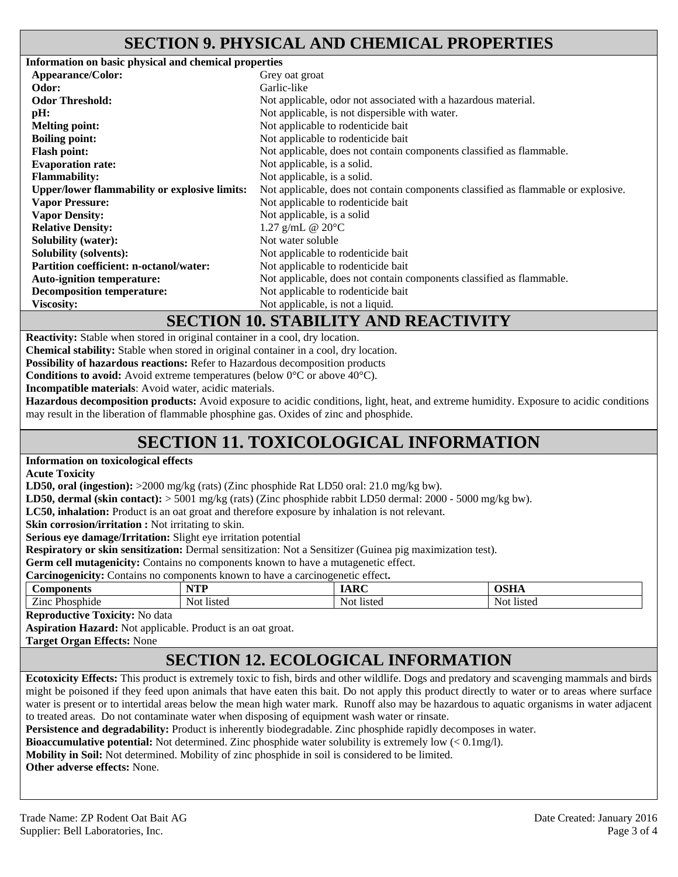### **SECTION 9. PHYSICAL AND CHEMICAL PROPERTIES**

| Information on basic physical and chemical properties |                                                                                   |
|-------------------------------------------------------|-----------------------------------------------------------------------------------|
| <b>Appearance/Color:</b>                              | Grey oat groat                                                                    |
| Odor:                                                 | Garlic-like                                                                       |
| <b>Odor Threshold:</b>                                | Not applicable, odor not associated with a hazardous material.                    |
| pH:                                                   | Not applicable, is not dispersible with water.                                    |
| <b>Melting point:</b>                                 | Not applicable to rodenticide bait                                                |
| <b>Boiling point:</b>                                 | Not applicable to rodenticide bait                                                |
| <b>Flash point:</b>                                   | Not applicable, does not contain components classified as flammable.              |
| <b>Evaporation rate:</b>                              | Not applicable, is a solid.                                                       |
| <b>Flammability:</b>                                  | Not applicable, is a solid.                                                       |
| <b>Upper/lower flammability or explosive limits:</b>  | Not applicable, does not contain components classified as flammable or explosive. |
| <b>Vapor Pressure:</b>                                | Not applicable to rodenticide bait                                                |
| <b>Vapor Density:</b>                                 | Not applicable, is a solid                                                        |
| <b>Relative Density:</b>                              | 1.27 g/mL @ $20^{\circ}$ C                                                        |
| <b>Solubility (water):</b>                            | Not water soluble                                                                 |
| <b>Solubility (solvents):</b>                         | Not applicable to rodenticide bait                                                |
| <b>Partition coefficient: n-octanol/water:</b>        | Not applicable to rodenticide bait                                                |
| <b>Auto-ignition temperature:</b>                     | Not applicable, does not contain components classified as flammable.              |
| <b>Decomposition temperature:</b>                     | Not applicable to rodenticide bait                                                |
| <b>Viscosity:</b>                                     | Not applicable, is not a liquid.                                                  |
|                                                       |                                                                                   |

### **SECTION 10. STABILITY AND REACTIVITY**

**Reactivity:** Stable when stored in original container in a cool, dry location.

**Chemical stability:** Stable when stored in original container in a cool, dry location.

**Possibility of hazardous reactions:** Refer to Hazardous decomposition products

**Conditions to avoid:** Avoid extreme temperatures (below 0°C or above 40°C).

**Incompatible materials**: Avoid water, acidic materials.

**Hazardous decomposition products:** Avoid exposure to acidic conditions, light, heat, and extreme humidity. Exposure to acidic conditions may result in the liberation of flammable phosphine gas. Oxides of zinc and phosphide.

## **SECTION 11. TOXICOLOGICAL INFORMATION**

#### **Information on toxicological effects**

**Acute Toxicity** 

**LD50, oral (ingestion):** >2000 mg/kg (rats) (Zinc phosphide Rat LD50 oral: 21.0 mg/kg bw).

**LD50, dermal (skin contact):** > 5001 mg/kg (rats) (Zinc phosphide rabbit LD50 dermal: 2000 - 5000 mg/kg bw).

**LC50, inhalation:** Product is an oat groat and therefore exposure by inhalation is not relevant.

**Skin corrosion/irritation :** Not irritating to skin.

**Serious eye damage/Irritation:** Slight eye irritation potential

**Respiratory or skin sensitization:** Dermal sensitization: Not a Sensitizer (Guinea pig maximization test).

**Germ cell mutagenicity:** Contains no components known to have a mutagenetic effect.

| Carcinogenicity:<br>Contains no components known to have a carcinogenetic effect. |            |            |            |
|-----------------------------------------------------------------------------------|------------|------------|------------|
| Components                                                                        | VTD<br>,,, | <b>ARC</b> | OSHA       |
| Zinc Phosphide                                                                    | Not listed | Not listed | Not listed |

**Reproductive Toxicity:** No data

**Aspiration Hazard:** Not applicable. Product is an oat groat.

**Target Organ Effects:** None

### **SECTION 12. ECOLOGICAL INFORMATION**

**Ecotoxicity Effects:** This product is extremely toxic to fish, birds and other wildlife. Dogs and predatory and scavenging mammals and birds might be poisoned if they feed upon animals that have eaten this bait. Do not apply this product directly to water or to areas where surface water is present or to intertidal areas below the mean high water mark. Runoff also may be hazardous to aquatic organisms in water adjacent to treated areas. Do not contaminate water when disposing of equipment wash water or rinsate.

**Persistence and degradability:** Product is inherently biodegradable. Zinc phosphide rapidly decomposes in water.

**Bioaccumulative potential:** Not determined. Zinc phosphide water solubility is extremely low (< 0.1mg/l).

**Mobility in Soil:** Not determined. Mobility of zinc phosphide in soil is considered to be limited.

**Other adverse effects:** None.